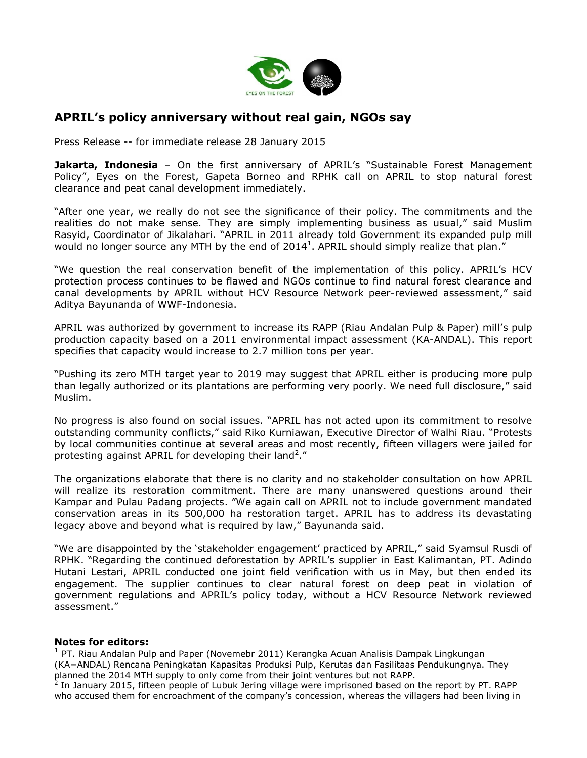

## **APRIL's policy anniversary without real gain, NGOs say**

Press Release -- for immediate release 28 January 2015

**Jakarta, Indonesia** - On the first anniversary of APRIL's "Sustainable Forest Management Policy", Eyes on the Forest, Gapeta Borneo and RPHK call on APRIL to stop natural forest clearance and peat canal development immediately.

"After one year, we really do not see the significance of their policy. The commitments and the realities do not make sense. They are simply implementing business as usual," said Muslim Rasyid, Coordinator of Jikalahari. "APRIL in 2011 already told Government its expanded pulp mill would no longer source any MTH by the end of 2014<sup>1</sup>. APRIL should simply realize that plan."

"We question the real conservation benefit of the implementation of this policy. APRIL"s HCV protection process continues to be flawed and NGOs continue to find natural forest clearance and canal developments by APRIL without HCV Resource Network peer-reviewed assessment," said Aditya Bayunanda of WWF-Indonesia.

APRIL was authorized by government to increase its RAPP (Riau Andalan Pulp & Paper) mill"s pulp production capacity based on a 2011 environmental impact assessment (KA-ANDAL). This report specifies that capacity would increase to 2.7 million tons per year.

"Pushing its zero MTH target year to 2019 may suggest that APRIL either is producing more pulp than legally authorized or its plantations are performing very poorly. We need full disclosure," said Muslim.

No progress is also found on social issues. "APRIL has not acted upon its commitment to resolve outstanding community conflicts," said Riko Kurniawan, Executive Director of Walhi Riau. "Protests by local communities continue at several areas and most recently, fifteen villagers were jailed for protesting against APRIL for developing their land<sup>2</sup>."

The organizations elaborate that there is no clarity and no stakeholder consultation on how APRIL will realize its restoration commitment. There are many unanswered questions around their Kampar and Pulau Padang projects. "We again call on APRIL not to include government mandated conservation areas in its 500,000 ha restoration target. APRIL has to address its devastating legacy above and beyond what is required by law," Bayunanda said.

"We are disappointed by the "stakeholder engagement" practiced by APRIL," said Syamsul Rusdi of RPHK. "Regarding the continued deforestation by APRIL"s supplier in East Kalimantan, PT. Adindo Hutani Lestari, APRIL conducted one joint field verification with us in May, but then ended its engagement. The supplier continues to clear natural forest on deep peat in violation of government regulations and APRIL's policy today, without a HCV Resource Network reviewed assessment."

## **Notes for editors:**

<sup>1</sup> PT. Riau Andalan Pulp and Paper (Novemebr 2011) Kerangka Acuan Analisis Dampak Lingkungan (KA=ANDAL) Rencana Peningkatan Kapasitas Produksi Pulp, Kerutas dan Fasilitaas Pendukungnya. They

planned the 2014 MTH supply to only come from their joint ventures but not RAPP.<br><sup>2</sup> In January 2015, fifteen people of Lubuk Jering village were imprisoned based on the report by PT. RAPP who accused them for encroachment of the company"s concession, whereas the villagers had been living in